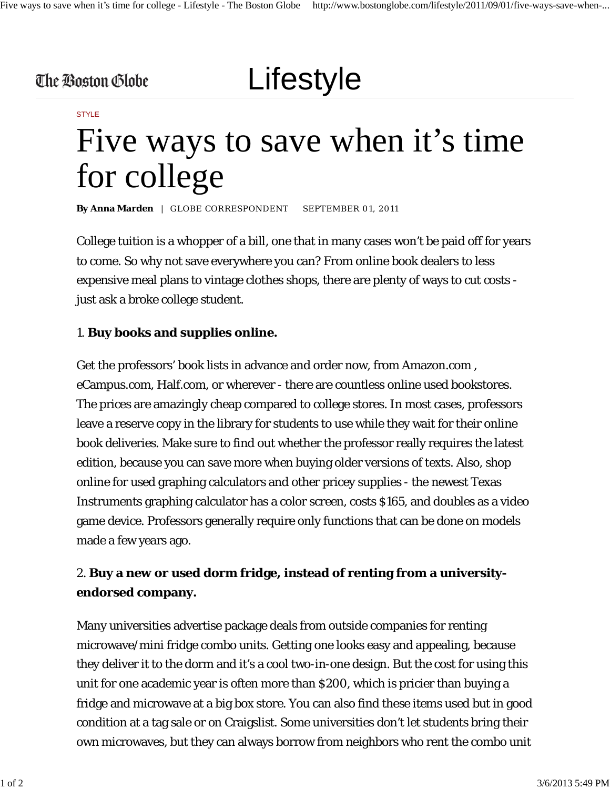### The Boston Globe

# Lifestyle

#### STYLE

## Five ways to save when it's time for college

By Anna Marden | GLOBE CORRESPONDENT SEPTEMBER 01, 2011

College tuition is a whopper of a bill, one that in many cases won't be paid off for years to come. So why not save everywhere you can? From online book dealers to less expensive meal plans to vintage clothes shops, there are plenty of ways to cut costs just ask a broke college student.

#### 1. **Buy books and supplies online.**

Get the professors' book lists in advance and order now, from Amazon.com , eCampus.com, Half.com, or wherever - there are countless online used bookstores. The prices are amazingly cheap compared to college stores. In most cases, professors leave a reserve copy in the library for students to use while they wait for their online book deliveries. Make sure to find out whether the professor really requires the latest edition, because you can save more when buying older versions of texts. Also, shop online for used graphing calculators and other pricey supplies - the newest Texas Instruments graphing calculator has a color screen, costs \$165, and doubles as a video game device. Professors generally require only functions that can be done on models made a few years ago.

### 2. **Buy a new or used dorm fridge, instead of renting from a universityendorsed company.**

Many universities advertise package deals from outside companies for renting microwave/mini fridge combo units. Getting one looks easy and appealing, because they deliver it to the dorm and it's a cool two-in-one design. But the cost for using this unit for one academic year is often more than \$200, which is pricier than buying a fridge and microwave at a big box store. You can also find these items used but in good condition at a tag sale or on Craigslist. Some universities don't let students bring their own microwaves, but they can always borrow from neighbors who rent the combo unit